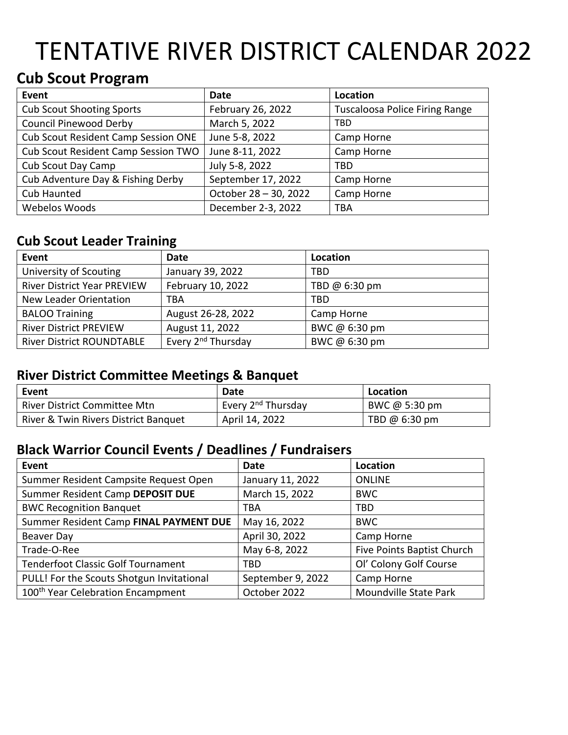# TENTATIVE RIVER DISTRICT CALENDAR 2022

## **Cub Scout Program**

| Event                               | Date                  | Location                              |
|-------------------------------------|-----------------------|---------------------------------------|
| <b>Cub Scout Shooting Sports</b>    | February 26, 2022     | <b>Tuscaloosa Police Firing Range</b> |
| <b>Council Pinewood Derby</b>       | March 5, 2022         | TBD                                   |
| Cub Scout Resident Camp Session ONE | June 5-8, 2022        | Camp Horne                            |
| Cub Scout Resident Camp Session TWO | June 8-11, 2022       | Camp Horne                            |
| Cub Scout Day Camp                  | July 5-8, 2022        | TBD                                   |
| Cub Adventure Day & Fishing Derby   | September 17, 2022    | Camp Horne                            |
| Cub Haunted                         | October 28 - 30, 2022 | Camp Horne                            |
| Webelos Woods                       | December 2-3, 2022    | TBA                                   |

### **Cub Scout Leader Training**

| Event                              | Date                           | Location      |
|------------------------------------|--------------------------------|---------------|
| University of Scouting             | January 39, 2022               | TBD           |
| <b>River District Year PREVIEW</b> | February 10, 2022              | TBD @ 6:30 pm |
| New Leader Orientation             | TBA                            | TBD           |
| <b>BALOO Training</b>              | August 26-28, 2022             | Camp Horne    |
| <b>River District PREVIEW</b>      | August 11, 2022                | BWC @ 6:30 pm |
| <b>River District ROUNDTABLE</b>   | Every 2 <sup>nd</sup> Thursday | BWC @ 6:30 pm |

### **River District Committee Meetings & Banquet**

| Event                                | Date                           | Location      |
|--------------------------------------|--------------------------------|---------------|
| River District Committee Mtn         | Every 2 <sup>nd</sup> Thursday | BWC @ 5:30 pm |
| River & Twin Rivers District Banquet | April 14, 2022                 | TBD @ 6:30 pm |

### **Black Warrior Council Events / Deadlines / Fundraisers**

| Event                                         | Date              | Location                   |
|-----------------------------------------------|-------------------|----------------------------|
| Summer Resident Campsite Request Open         | January 11, 2022  | <b>ONLINE</b>              |
| Summer Resident Camp DEPOSIT DUE              | March 15, 2022    | <b>BWC</b>                 |
| <b>BWC Recognition Banquet</b>                | TBA               | TBD                        |
| Summer Resident Camp FINAL PAYMENT DUE        | May 16, 2022      | <b>BWC</b>                 |
| Beaver Day                                    | April 30, 2022    | Camp Horne                 |
| Trade-O-Ree                                   | May 6-8, 2022     | Five Points Baptist Church |
| <b>Tenderfoot Classic Golf Tournament</b>     | TBD               | Ol' Colony Golf Course     |
| PULL! For the Scouts Shotgun Invitational     | September 9, 2022 | Camp Horne                 |
| 100 <sup>th</sup> Year Celebration Encampment | October 2022      | Moundville State Park      |